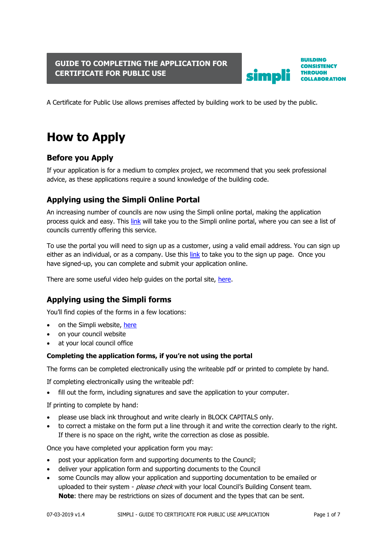### **GUIDE TO COMPLETING THE APPLICATION FOR CERTIFICATE FOR PUBLIC USE**



**BUILDING CONSISTENCY THROUGH COLLABORATION** 

A Certificate for Public Use allows premises affected by building work to be used by the public.

# **How to Apply**

## **Before you Apply**

If your application is for a medium to complex project, we recommend that you seek professional advice, as these applications require a sound knowledge of the building code.

## **Applying using the Simpli Online Portal**

An increasing number of councils are now using the Simpli online portal, making the application process quick and easy. This [link](https://simpli.govt.nz/apply-online) will take you to the Simpli online portal, where you can see a list of councils currently offering this service.

To use the portal you will need to sign up as a customer, using a valid email address. You can sign up either as an individual, or as a company. Use this [link](https://simpli.govt.nz/register) to take you to the sign up page. Once you have signed-up, you can complete and submit your application online.

There are some useful video help guides on the portal site, [here.](https://simpli.govt.nz/apply-online)

## **Applying using the Simpli forms**

You'll find copies of the forms in a few locations:

- on the Simpli website, [here](https://simpli.govt.nz/tool-box)
- on your council website
- at your local council office

#### **Completing the application forms, if you're not using the portal**

The forms can be completed electronically using the writeable pdf or printed to complete by hand.

If completing electronically using the writeable pdf:

• fill out the form, including signatures and save the application to your computer.

If printing to complete by hand:

- please use black ink throughout and write clearly in BLOCK CAPITALS only.
- to correct a mistake on the form put a line through it and write the correction clearly to the right. If there is no space on the right, write the correction as close as possible.

Once you have completed your application form you may:

- post your application form and supporting documents to the Council;
- deliver your application form and supporting documents to the Council
- some Councils may allow your application and supporting documentation to be emailed or uploaded to their system - please check with your local Council's Building Consent team. **Note**: there may be restrictions on sizes of document and the types that can be sent.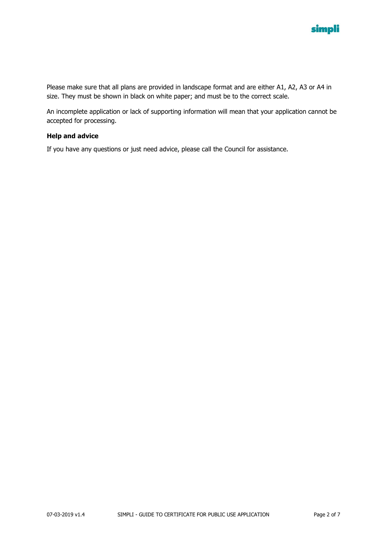

Please make sure that all plans are provided in landscape format and are either A1, A2, A3 or A4 in size. They must be shown in black on white paper; and must be to the correct scale.

An incomplete application or lack of supporting information will mean that your application cannot be accepted for processing.

#### **Help and advice**

If you have any questions or just need advice, please call the Council for assistance.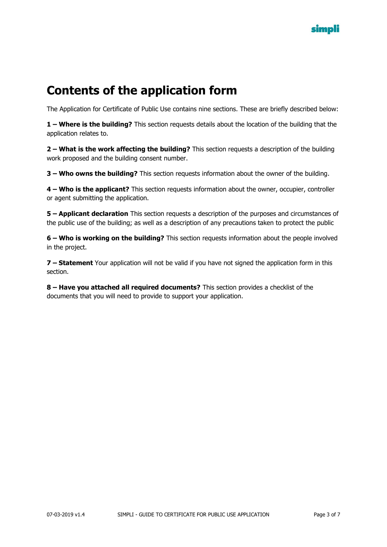

# **Contents of the application form**

The Application for Certificate of Public Use contains nine sections. These are briefly described below:

**1 – Where is the building?** This section requests details about the location of the building that the application relates to.

**2 – What is the work affecting the building?** This section requests a description of the building work proposed and the building consent number.

**3 – Who owns the building?** This section requests information about the owner of the building.

**4 – Who is the applicant?** This section requests information about the owner, occupier, controller or agent submitting the application.

**5 – Applicant declaration** This section requests a description of the purposes and circumstances of the public use of the building; as well as a description of any precautions taken to protect the public

**6 – Who is working on the building?** This section requests information about the people involved in the project.

**7 – Statement** Your application will not be valid if you have not signed the application form in this section.

**8 – Have you attached all required documents?** This section provides a checklist of the documents that you will need to provide to support your application.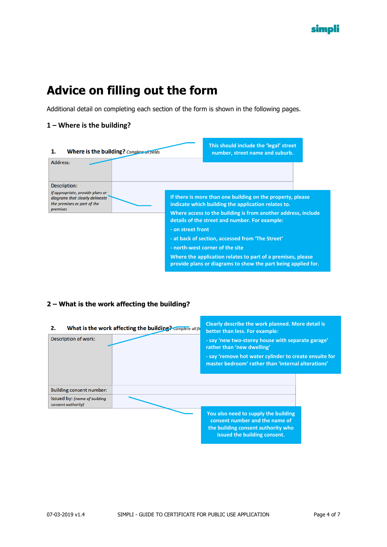# **Advice on filling out the form**

Additional detail on completing each section of the form is shown in the following pages.

#### **1 – Where is the building?**



#### **2 – What is the work affecting the building?**

| What is the work affecting the building? Complete all fie<br>2.<br><b>Description of work:</b> | Clearly describe the work planned. More detail is<br>better than less. For example:<br>- say 'new two-storey house with separate garage'<br>rather than 'new dwelling'<br>- say 'remove hot water cylinder to create ensuite for<br>master bedroom' rather than 'internal alterations' |  |
|------------------------------------------------------------------------------------------------|----------------------------------------------------------------------------------------------------------------------------------------------------------------------------------------------------------------------------------------------------------------------------------------|--|
| <b>Building consent number:</b>                                                                |                                                                                                                                                                                                                                                                                        |  |
| Issued by: (name of building<br>consent authority)                                             |                                                                                                                                                                                                                                                                                        |  |
|                                                                                                | You also need to supply the building<br>consent number and the name of<br>the building consent authority who<br>issued the building consent.                                                                                                                                           |  |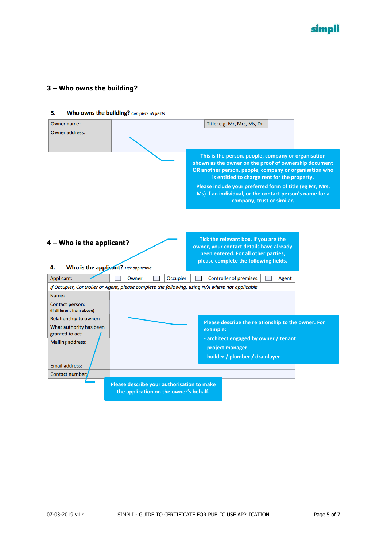### **3 – Who owns the building?**

| Owner name:                                                                                                          |                                                                                                 | Title: e.g. Mr, Mrs, Ms, Dr                                                                                                                                                                                                                                                                                                                                                  |
|----------------------------------------------------------------------------------------------------------------------|-------------------------------------------------------------------------------------------------|------------------------------------------------------------------------------------------------------------------------------------------------------------------------------------------------------------------------------------------------------------------------------------------------------------------------------------------------------------------------------|
| <b>Owner address:</b>                                                                                                |                                                                                                 |                                                                                                                                                                                                                                                                                                                                                                              |
|                                                                                                                      |                                                                                                 | This is the person, people, company or organisation<br>shown as the owner on the proof of ownership document<br>OR another person, people, company or organisation who<br>is entitled to charge rent for the property.<br>Please include your preferred form of title (eg Mr, Mrs,<br>Ms) if an individual, or the contact person's name for a<br>company, trust or similar. |
| $4 -$ Who is the applicant?<br>Who is the applicant? Tick applicable<br>4.<br>Applicant:<br><b>Occupier</b><br>Owner |                                                                                                 | Tick the relevant box. If you are the<br>owner, your contact details have already<br>been entered. For all other parties,<br>please complete the following fields.<br><b>Controller of premises</b><br>Agent                                                                                                                                                                 |
|                                                                                                                      | If Occupier, Controller or Agent, please complete the following, using N/A where not applicable |                                                                                                                                                                                                                                                                                                                                                                              |
| Name:                                                                                                                |                                                                                                 |                                                                                                                                                                                                                                                                                                                                                                              |
| Contact person:<br>(if different from above)                                                                         |                                                                                                 |                                                                                                                                                                                                                                                                                                                                                                              |
| <b>Relationship to owner:</b><br>What authority has been<br>granted to act:                                          |                                                                                                 | Please describe the relationship to the owner. For<br>example:<br>- architect engaged by owner / tenant                                                                                                                                                                                                                                                                      |
| <b>Mailing address:</b>                                                                                              |                                                                                                 | - project manager<br>- builder / plumber / drainlayer                                                                                                                                                                                                                                                                                                                        |
| <b>Email address:</b>                                                                                                |                                                                                                 |                                                                                                                                                                                                                                                                                                                                                                              |
| Contact number:                                                                                                      |                                                                                                 |                                                                                                                                                                                                                                                                                                                                                                              |
|                                                                                                                      | Please describe your authorisation to make<br>the application on the owner's behalf.            |                                                                                                                                                                                                                                                                                                                                                                              |

#### $3.$ Who owns the building? Complete all fields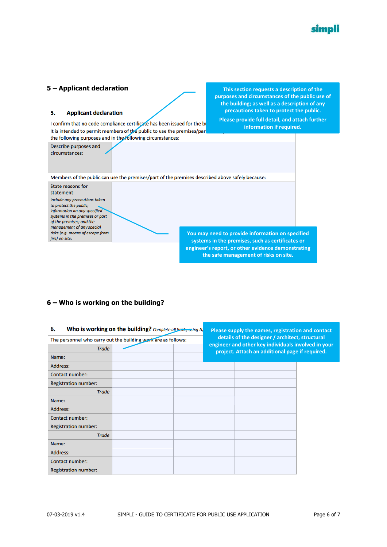

#### **5 – Applicant declaration This section requests a description of the purposes and circumstances of the public use of the building; as well as a description of any precautions taken to protect the public.** 5. **Applicant declaration Please provide full detail, and attach further**  I confirm that no code compliance certificate has been issued for the by **information if required.** It is intended to permit members of the public to use the premises/part the following purposes and in the following circumstances: Describe purposes and circumstances: Members of the public can use the premises/part of the premises described above safely because: State reasons for statement: Include any precautions taken to protect the public; information on any specified systems in the premises or part of the premises; and the management of any special risks (e.g. means of escape from **You may need to provide information on specified**  fire) on site: **systems in the premises, such as certificates or engineer's report, or other evidence demonstrating the safe management of risks on site.**

#### **6 – Who is working on the building?**

| Who is working on the building? Complete all fields, using N/<br>6. |  |  | Please supply the names, registration and contact<br>details of the designer / architect, structural   |  |
|---------------------------------------------------------------------|--|--|--------------------------------------------------------------------------------------------------------|--|
| The personnel who carry out the building work are as follows:       |  |  |                                                                                                        |  |
| <b>Trade</b>                                                        |  |  | engineer and other key individuals involved in your<br>project. Attach an additional page if required. |  |
| Name:                                                               |  |  |                                                                                                        |  |
| Address:                                                            |  |  |                                                                                                        |  |
| <b>Contact number:</b>                                              |  |  |                                                                                                        |  |
| <b>Registration number:</b>                                         |  |  |                                                                                                        |  |
| <b>Trade</b>                                                        |  |  |                                                                                                        |  |
| Name:                                                               |  |  |                                                                                                        |  |
| Address:                                                            |  |  |                                                                                                        |  |
| <b>Contact number:</b>                                              |  |  |                                                                                                        |  |
| <b>Registration number:</b>                                         |  |  |                                                                                                        |  |
| <b>Trade</b>                                                        |  |  |                                                                                                        |  |
| Name:                                                               |  |  |                                                                                                        |  |
| Address:                                                            |  |  |                                                                                                        |  |
| Contact number:                                                     |  |  |                                                                                                        |  |
| <b>Registration number:</b>                                         |  |  |                                                                                                        |  |